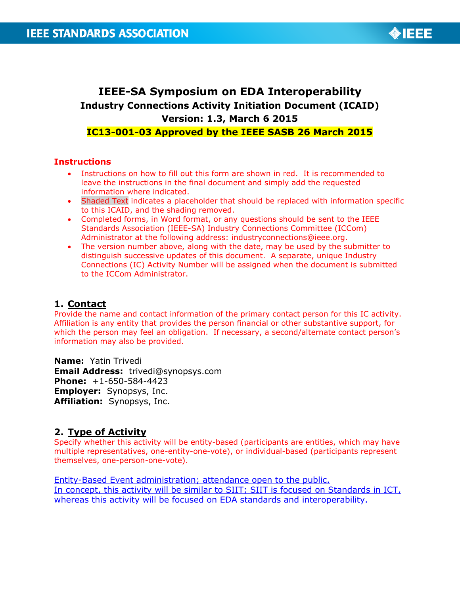

# **IEEE-SA Symposium on EDA Interoperability Industry Connections Activity Initiation Document (ICAID) Version: 1.3, March 6 2015 IC13-001-03 Approved by the IEEE SASB 26 March 2015**

### **Instructions**

- Instructions on how to fill out this form are shown in red. It is recommended to leave the instructions in the final document and simply add the requested information where indicated.
- Shaded Text indicates a placeholder that should be replaced with information specific to this ICAID, and the shading removed.
- Completed forms, in Word format, or any questions should be sent to the IEEE Standards Association (IEEE-SA) Industry Connections Committee (ICCom) Administrator at the following address: [industryconnections@ieee.org.](mailto:industryconnections@ieee.org)
- The version number above, along with the date, may be used by the submitter to distinguish successive updates of this document. A separate, unique Industry Connections (IC) Activity Number will be assigned when the document is submitted to the ICCom Administrator.

### **1. Contact**

Provide the name and contact information of the primary contact person for this IC activity. Affiliation is any entity that provides the person financial or other substantive support, for which the person may feel an obligation. If necessary, a second/alternate contact person's information may also be provided.

**Name:** Yatin Trivedi **Email Address:** trivedi@synopsys.com **Phone:** +1-650-584-4423 **Employer:** Synopsys, Inc. **Affiliation:** Synopsys, Inc.

### **2. Type of Activity**

Specify whether this activity will be entity-based (participants are entities, which may have multiple representatives, one-entity-one-vote), or individual-based (participants represent themselves, one-person-one-vote).

Entity-Based Event administration; attendance open to the public. In concept, this activity will be similar to SIIT; SIIT is focused on Standards in ICT, whereas this activity will be focused on EDA standards and interoperability.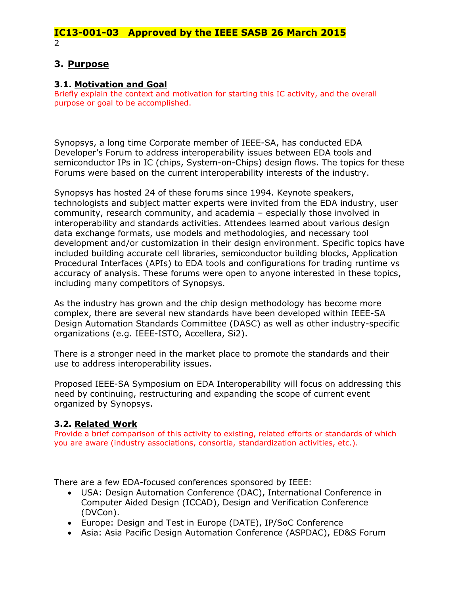### **3. Purpose**

### **3.1. Motivation and Goal**

Briefly explain the context and motivation for starting this IC activity, and the overall purpose or goal to be accomplished.

Synopsys, a long time Corporate member of IEEE-SA, has conducted EDA Developer's Forum to address interoperability issues between EDA tools and semiconductor IPs in IC (chips, System-on-Chips) design flows. The topics for these Forums were based on the current interoperability interests of the industry.

Synopsys has hosted 24 of these forums since 1994. Keynote speakers, technologists and subject matter experts were invited from the EDA industry, user community, research community, and academia – especially those involved in interoperability and standards activities. Attendees learned about various design data exchange formats, use models and methodologies, and necessary tool development and/or customization in their design environment. Specific topics have included building accurate cell libraries, semiconductor building blocks, Application Procedural Interfaces (APIs) to EDA tools and configurations for trading runtime vs accuracy of analysis. These forums were open to anyone interested in these topics, including many competitors of Synopsys.

As the industry has grown and the chip design methodology has become more complex, there are several new standards have been developed within IEEE-SA Design Automation Standards Committee (DASC) as well as other industry-specific organizations (e.g. IEEE-ISTO, Accellera, Si2).

There is a stronger need in the market place to promote the standards and their use to address interoperability issues.

Proposed IEEE-SA Symposium on EDA Interoperability will focus on addressing this need by continuing, restructuring and expanding the scope of current event organized by Synopsys.

### **3.2. Related Work**

Provide a brief comparison of this activity to existing, related efforts or standards of which you are aware (industry associations, consortia, standardization activities, etc.).

There are a few EDA-focused conferences sponsored by IEEE:

- USA: Design Automation Conference (DAC), International Conference in Computer Aided Design (ICCAD), Design and Verification Conference (DVCon).
- Europe: Design and Test in Europe (DATE), IP/SoC Conference
- Asia: Asia Pacific Design Automation Conference (ASPDAC), ED&S Forum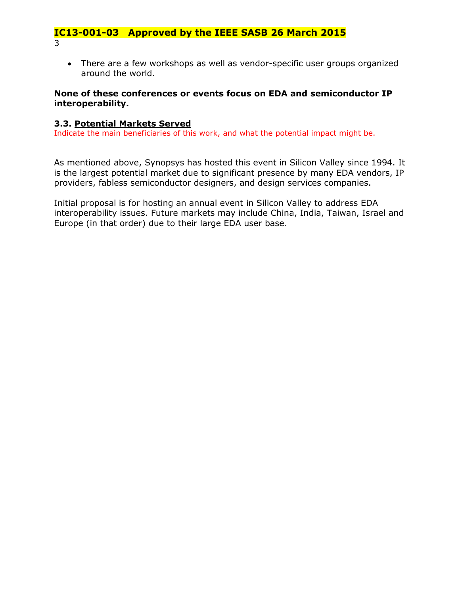• There are a few workshops as well as vendor-specific user groups organized around the world.

### **None of these conferences or events focus on EDA and semiconductor IP interoperability.**

### **3.3. Potential Markets Served**

Indicate the main beneficiaries of this work, and what the potential impact might be.

As mentioned above, Synopsys has hosted this event in Silicon Valley since 1994. It is the largest potential market due to significant presence by many EDA vendors, IP providers, fabless semiconductor designers, and design services companies.

Initial proposal is for hosting an annual event in Silicon Valley to address EDA interoperability issues. Future markets may include China, India, Taiwan, Israel and Europe (in that order) due to their large EDA user base.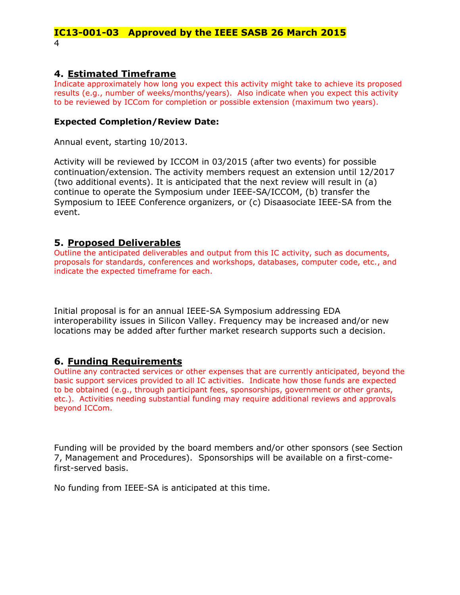### **4. Estimated Timeframe**

Indicate approximately how long you expect this activity might take to achieve its proposed results (e.g., number of weeks/months/years). Also indicate when you expect this activity to be reviewed by ICCom for completion or possible extension (maximum two years).

### **Expected Completion/Review Date:**

Annual event, starting 10/2013.

Activity will be reviewed by ICCOM in 03/2015 (after two events) for possible continuation/extension. The activity members request an extension until 12/2017 (two additional events). It is anticipated that the next review will result in (a) continue to operate the Symposium under IEEE-SA/ICCOM, (b) transfer the Symposium to IEEE Conference organizers, or (c) Disaasociate IEEE-SA from the event.

### **5. Proposed Deliverables**

Outline the anticipated deliverables and output from this IC activity, such as documents, proposals for standards, conferences and workshops, databases, computer code, etc., and indicate the expected timeframe for each.

Initial proposal is for an annual IEEE-SA Symposium addressing EDA interoperability issues in Silicon Valley. Frequency may be increased and/or new locations may be added after further market research supports such a decision.

### **6. Funding Requirements**

Outline any contracted services or other expenses that are currently anticipated, beyond the basic support services provided to all IC activities. Indicate how those funds are expected to be obtained (e.g., through participant fees, sponsorships, government or other grants, etc.). Activities needing substantial funding may require additional reviews and approvals beyond ICCom.

Funding will be provided by the board members and/or other sponsors (see Section 7, Management and Procedures). Sponsorships will be available on a first-comefirst-served basis.

No funding from IEEE-SA is anticipated at this time.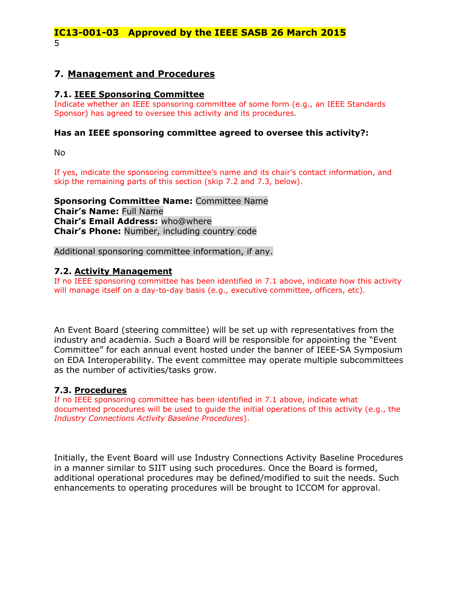### **7. Management and Procedures**

### **7.1. IEEE Sponsoring Committee**

Indicate whether an IEEE sponsoring committee of some form (e.g., an IEEE Standards Sponsor) has agreed to oversee this activity and its procedures.

#### **Has an IEEE sponsoring committee agreed to oversee this activity?:**

No

If yes, indicate the sponsoring committee's name and its chair's contact information, and skip the remaining parts of this section (skip 7.2 and 7.3, below).

**Sponsoring Committee Name:** Committee Name **Chair's Name:** Full Name **Chair's Email Address:** who@where **Chair's Phone:** Number, including country code

Additional sponsoring committee information, if any.

#### **7.2. Activity Management**

If no IEEE sponsoring committee has been identified in 7.1 above, indicate how this activity will manage itself on a day-to-day basis (e.g., executive committee, officers, etc).

An Event Board (steering committee) will be set up with representatives from the industry and academia. Such a Board will be responsible for appointing the "Event Committee" for each annual event hosted under the banner of IEEE-SA Symposium on EDA Interoperability. The event committee may operate multiple subcommittees as the number of activities/tasks grow.

#### **7.3. Procedures**

If no IEEE sponsoring committee has been identified in 7.1 above, indicate what documented procedures will be used to guide the initial operations of this activity (e.g., the *Industry Connections Activity Baseline Procedures*).

Initially, the Event Board will use Industry Connections Activity Baseline Procedures in a manner similar to SIIT using such procedures. Once the Board is formed, additional operational procedures may be defined/modified to suit the needs. Such enhancements to operating procedures will be brought to ICCOM for approval.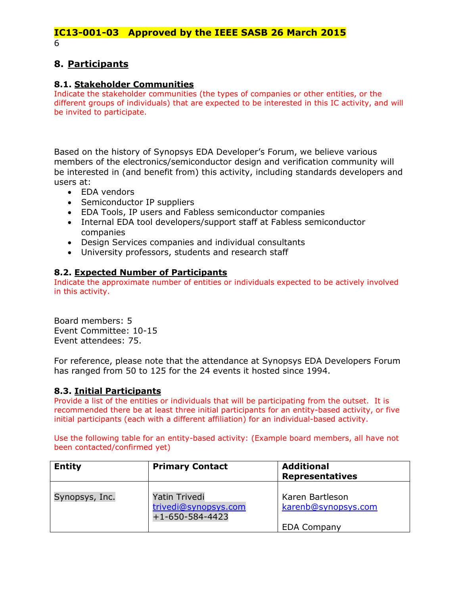## **8. Participants**

### **8.1. Stakeholder Communities**

Indicate the stakeholder communities (the types of companies or other entities, or the different groups of individuals) that are expected to be interested in this IC activity, and will be invited to participate.

Based on the history of Synopsys EDA Developer's Forum, we believe various members of the electronics/semiconductor design and verification community will be interested in (and benefit from) this activity, including standards developers and users at:

- EDA vendors
- Semiconductor IP suppliers
- EDA Tools, IP users and Fabless semiconductor companies
- Internal EDA tool developers/support staff at Fabless semiconductor companies
- Design Services companies and individual consultants
- University professors, students and research staff

### **8.2. Expected Number of Participants**

Indicate the approximate number of entities or individuals expected to be actively involved in this activity.

Board members: 5 Event Committee: 10-15 Event attendees: 75.

For reference, please note that the attendance at Synopsys EDA Developers Forum has ranged from 50 to 125 for the 24 events it hosted since 1994.

### **8.3. Initial Participants**

Provide a list of the entities or individuals that will be participating from the outset. It is recommended there be at least three initial participants for an entity-based activity, or five initial participants (each with a different affiliation) for an individual-based activity.

Use the following table for an entity-based activity: (Example board members, all have not been contacted/confirmed yet)

| <b>Entity</b>  | <b>Primary Contact</b>                                           | <b>Additional</b><br><b>Representatives</b>                  |  |
|----------------|------------------------------------------------------------------|--------------------------------------------------------------|--|
| Synopsys, Inc. | Yatin Trivedi<br>trivedi@synopsys.com<br>$+1 - 650 - 584 - 4423$ | Karen Bartleson<br>karenb@synopsys.com<br><b>EDA Company</b> |  |